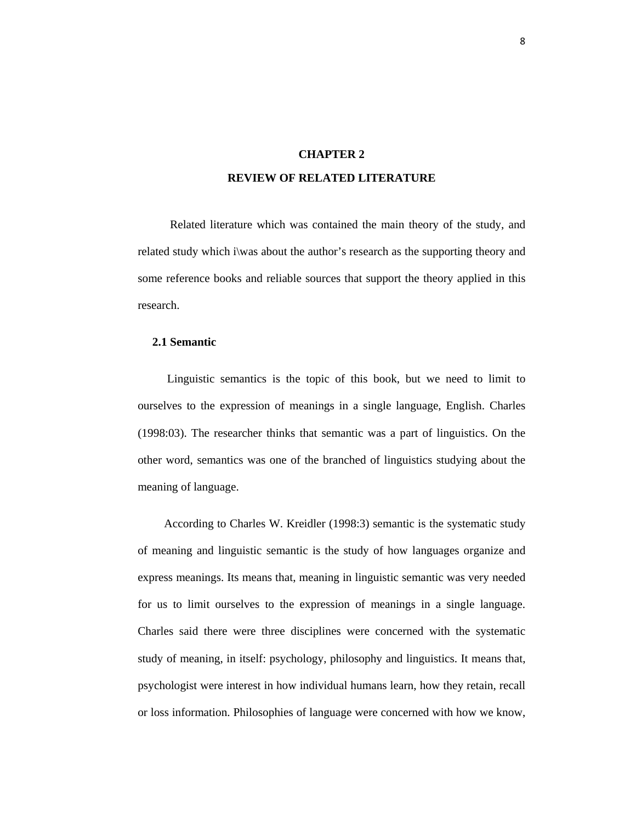# **CHAPTER 2 REVIEW OF RELATED LITERATURE**

 Related literature which was contained the main theory of the study, and related study which i\was about the author's research as the supporting theory and some reference books and reliable sources that support the theory applied in this research.

# **2.1 Semantic**

 Linguistic semantics is the topic of this book, but we need to limit to ourselves to the expression of meanings in a single language, English. Charles (1998:03). The researcher thinks that semantic was a part of linguistics. On the other word, semantics was one of the branched of linguistics studying about the meaning of language.

 According to Charles W. Kreidler (1998:3) semantic is the systematic study of meaning and linguistic semantic is the study of how languages organize and express meanings. Its means that, meaning in linguistic semantic was very needed for us to limit ourselves to the expression of meanings in a single language. Charles said there were three disciplines were concerned with the systematic study of meaning, in itself: psychology, philosophy and linguistics. It means that, psychologist were interest in how individual humans learn, how they retain, recall or loss information. Philosophies of language were concerned with how we know,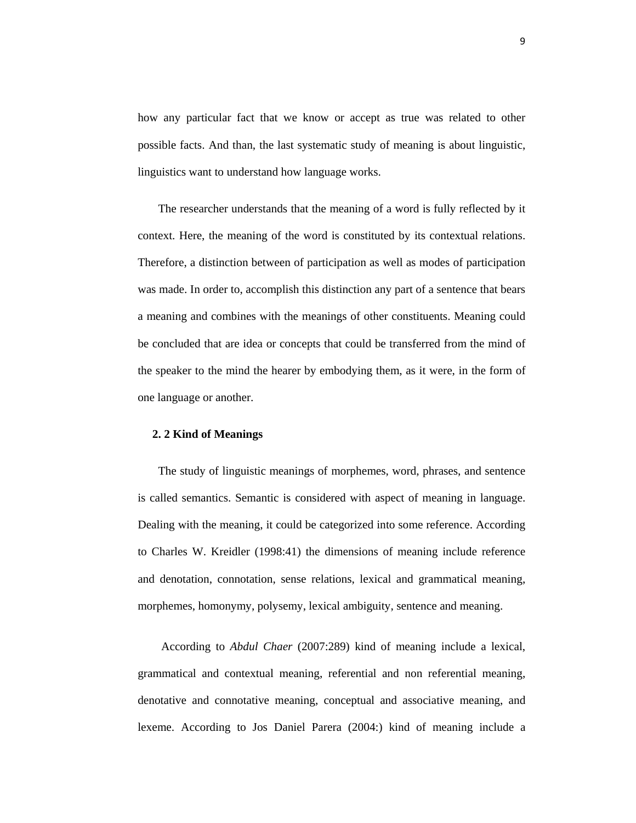how any particular fact that we know or accept as true was related to other possible facts. And than, the last systematic study of meaning is about linguistic, linguistics want to understand how language works.

 The researcher understands that the meaning of a word is fully reflected by it context. Here, the meaning of the word is constituted by its contextual relations. Therefore, a distinction between of participation as well as modes of participation was made. In order to, accomplish this distinction any part of a sentence that bears a meaning and combines with the meanings of other constituents. Meaning could be concluded that are idea or concepts that could be transferred from the mind of the speaker to the mind the hearer by embodying them, as it were, in the form of one language or another.

# **2. 2 Kind of Meanings**

 The study of linguistic meanings of morphemes, word, phrases, and sentence is called semantics. Semantic is considered with aspect of meaning in language. Dealing with the meaning, it could be categorized into some reference. According to Charles W. Kreidler (1998:41) the dimensions of meaning include reference and denotation, connotation, sense relations, lexical and grammatical meaning, morphemes, homonymy, polysemy, lexical ambiguity, sentence and meaning.

 According to *Abdul Chaer* (2007:289) kind of meaning include a lexical, grammatical and contextual meaning, referential and non referential meaning, denotative and connotative meaning, conceptual and associative meaning, and lexeme. According to Jos Daniel Parera (2004:) kind of meaning include a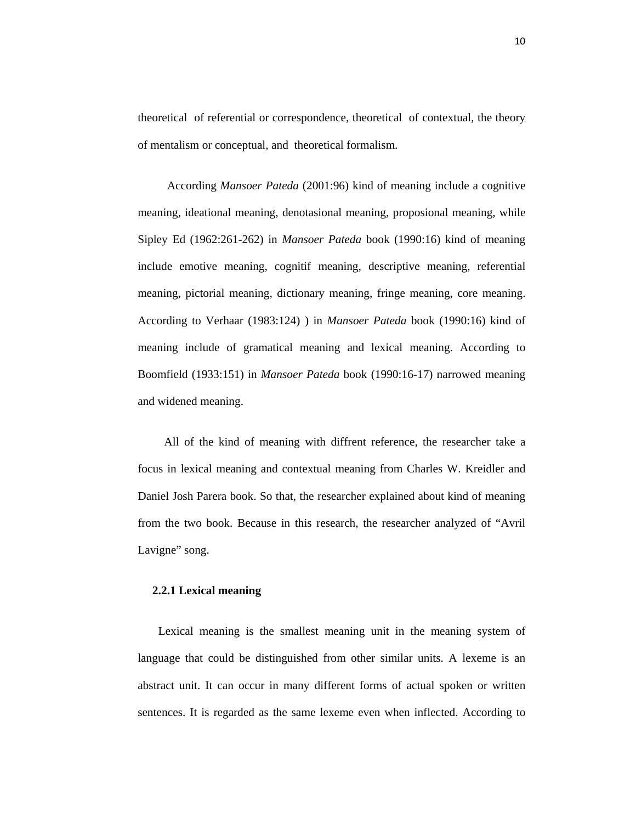theoretical of referential or correspondence, theoretical of contextual, the theory of mentalism or conceptual, and theoretical formalism.

 According *Mansoer Pateda* (2001:96) kind of meaning include a cognitive meaning, ideational meaning, denotasional meaning, proposional meaning, while Sipley Ed (1962:261-262) in *Mansoer Pateda* book (1990:16) kind of meaning include emotive meaning, cognitif meaning, descriptive meaning, referential meaning, pictorial meaning, dictionary meaning, fringe meaning, core meaning. According to Verhaar (1983:124) ) in *Mansoer Pateda* book (1990:16) kind of meaning include of gramatical meaning and lexical meaning. According to Boomfield (1933:151) in *Mansoer Pateda* book (1990:16-17) narrowed meaning and widened meaning.

 All of the kind of meaning with diffrent reference, the researcher take a focus in lexical meaning and contextual meaning from Charles W. Kreidler and Daniel Josh Parera book. So that, the researcher explained about kind of meaning from the two book. Because in this research, the researcher analyzed of "Avril Lavigne" song.

#### **2.2.1 Lexical meaning**

 Lexical meaning is the smallest meaning unit in the meaning system of language that could be distinguished from other similar units. A lexeme is an abstract unit. It can occur in many different forms of actual spoken or written sentences. It is regarded as the same lexeme even when inflected. According to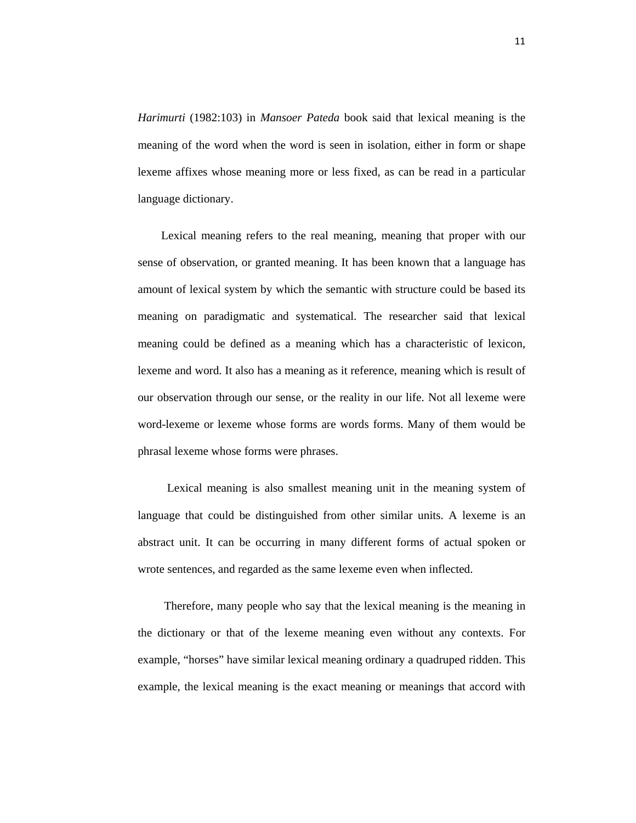*Harimurti* (1982:103) in *Mansoer Pateda* book said that lexical meaning is the meaning of the word when the word is seen in isolation, either in form or shape lexeme affixes whose meaning more or less fixed, as can be read in a particular language dictionary.

 Lexical meaning refers to the real meaning, meaning that proper with our sense of observation, or granted meaning. It has been known that a language has amount of lexical system by which the semantic with structure could be based its meaning on paradigmatic and systematical. The researcher said that lexical meaning could be defined as a meaning which has a characteristic of lexicon, lexeme and word. It also has a meaning as it reference, meaning which is result of our observation through our sense, or the reality in our life. Not all lexeme were word-lexeme or lexeme whose forms are words forms. Many of them would be phrasal lexeme whose forms were phrases.

 Lexical meaning is also smallest meaning unit in the meaning system of language that could be distinguished from other similar units. A lexeme is an abstract unit. It can be occurring in many different forms of actual spoken or wrote sentences, and regarded as the same lexeme even when inflected.

 Therefore, many people who say that the lexical meaning is the meaning in the dictionary or that of the lexeme meaning even without any contexts. For example, "horses" have similar lexical meaning ordinary a quadruped ridden. This example, the lexical meaning is the exact meaning or meanings that accord with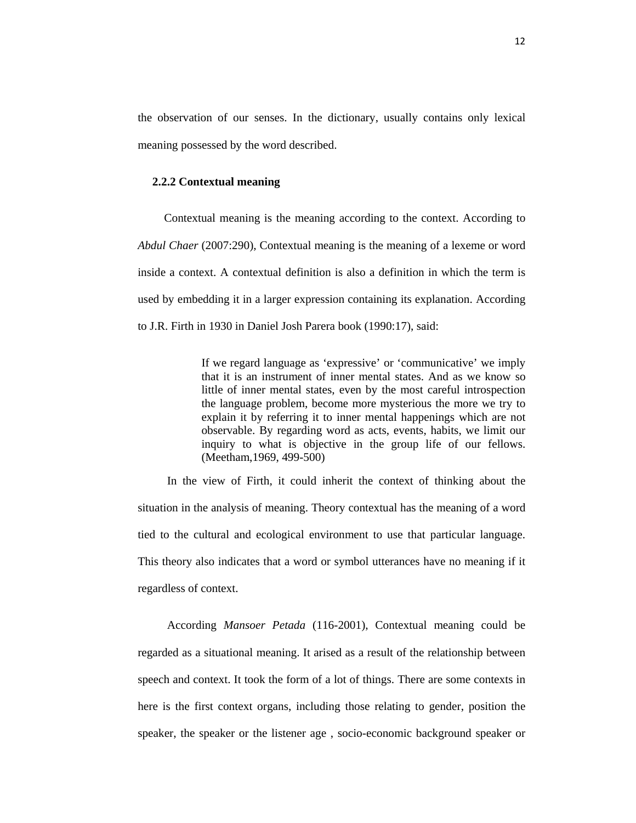the observation of our senses. In the dictionary, usually contains only lexical meaning possessed by the word described.

#### **2.2.2 Contextual meaning**

 Contextual meaning is the meaning according to the context. According to *Abdul Chaer* (2007:290), Contextual meaning is the meaning of a lexeme or word inside a context. A contextual definition is also a definition in which the term is used by embedding it in a larger expression containing its explanation. According to J.R. Firth in 1930 in Daniel Josh Parera book (1990:17), said:

> If we regard language as 'expressive' or 'communicative' we imply that it is an instrument of inner mental states. And as we know so little of inner mental states, even by the most careful introspection the language problem, become more mysterious the more we try to explain it by referring it to inner mental happenings which are not observable. By regarding word as acts, events, habits, we limit our inquiry to what is objective in the group life of our fellows. (Meetham,1969, 499-500)

 In the view of Firth, it could inherit the context of thinking about the situation in the analysis of meaning. Theory contextual has the meaning of a word tied to the cultural and ecological environment to use that particular language. This theory also indicates that a word or symbol utterances have no meaning if it regardless of context.

 According *Mansoer Petada* (116-2001), Contextual meaning could be regarded as a situational meaning. It arised as a result of the relationship between speech and context. It took the form of a lot of things. There are some contexts in here is the first context organs, including those relating to gender, position the speaker, the speaker or the listener age , socio-economic background speaker or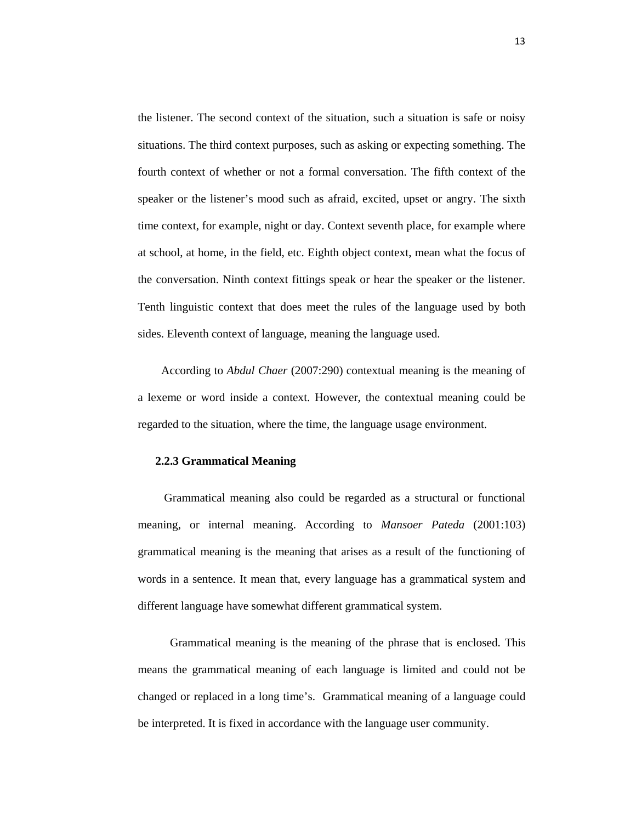the listener. The second context of the situation, such a situation is safe or noisy situations. The third context purposes, such as asking or expecting something. The fourth context of whether or not a formal conversation. The fifth context of the speaker or the listener's mood such as afraid, excited, upset or angry. The sixth time context, for example, night or day. Context seventh place, for example where at school, at home, in the field, etc. Eighth object context, mean what the focus of the conversation. Ninth context fittings speak or hear the speaker or the listener. Tenth linguistic context that does meet the rules of the language used by both sides. Eleventh context of language, meaning the language used.

 According to *Abdul Chaer* (2007:290) contextual meaning is the meaning of a lexeme or word inside a context. However, the contextual meaning could be regarded to the situation, where the time, the language usage environment.

#### **2.2.3 Grammatical Meaning**

 Grammatical meaning also could be regarded as a structural or functional meaning, or internal meaning. According to *Mansoer Pateda* (2001:103) grammatical meaning is the meaning that arises as a result of the functioning of words in a sentence. It mean that, every language has a grammatical system and different language have somewhat different grammatical system.

 Grammatical meaning is the meaning of the phrase that is enclosed. This means the grammatical meaning of each language is limited and could not be changed or replaced in a long time's. Grammatical meaning of a language could be interpreted. It is fixed in accordance with the language user community.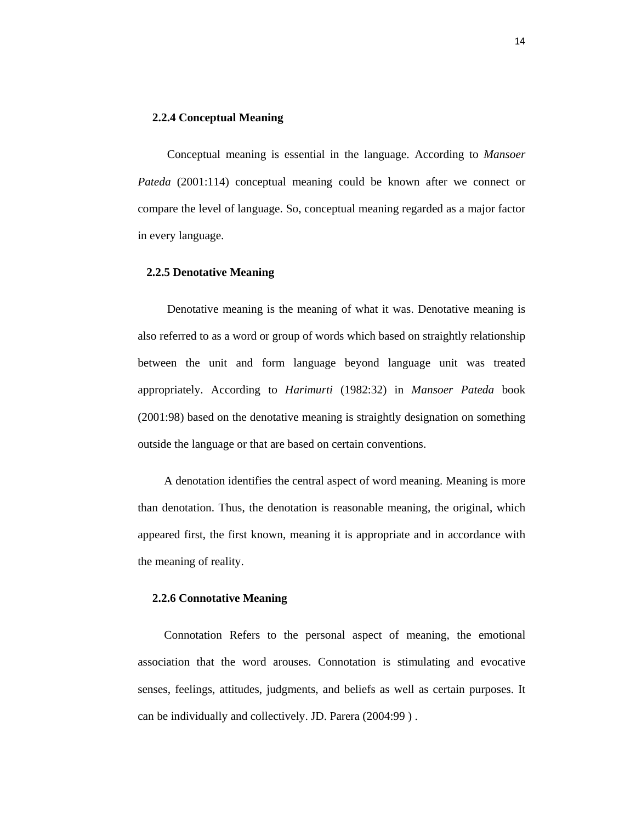# **2.2.4 Conceptual Meaning**

 Conceptual meaning is essential in the language. According to *Mansoer Pateda* (2001:114) conceptual meaning could be known after we connect or compare the level of language. So, conceptual meaning regarded as a major factor in every language.

# **2.2.5 Denotative Meaning**

 Denotative meaning is the meaning of what it was. Denotative meaning is also referred to as a word or group of words which based on straightly relationship between the unit and form language beyond language unit was treated appropriately. According to *Harimurti* (1982:32) in *Mansoer Pateda* book (2001:98) based on the denotative meaning is straightly designation on something outside the language or that are based on certain conventions.

 A denotation identifies the central aspect of word meaning. Meaning is more than denotation. Thus, the denotation is reasonable meaning, the original, which appeared first, the first known, meaning it is appropriate and in accordance with the meaning of reality.

#### **2.2.6 Connotative Meaning**

 Connotation Refers to the personal aspect of meaning, the emotional association that the word arouses. Connotation is stimulating and evocative senses, feelings, attitudes, judgments, and beliefs as well as certain purposes. It can be individually and collectively. JD. Parera (2004:99 ) .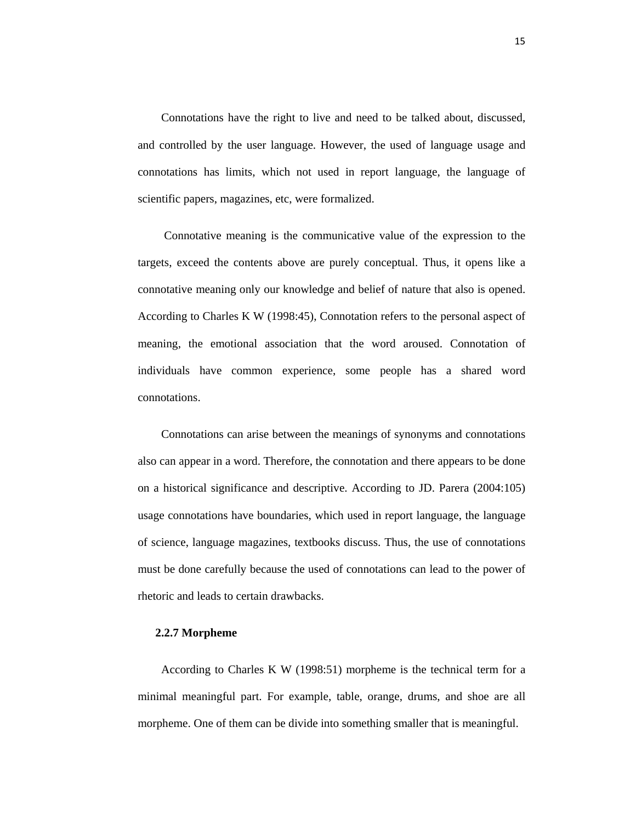Connotations have the right to live and need to be talked about, discussed, and controlled by the user language. However, the used of language usage and connotations has limits, which not used in report language, the language of scientific papers, magazines, etc, were formalized.

 Connotative meaning is the communicative value of the expression to the targets, exceed the contents above are purely conceptual. Thus, it opens like a connotative meaning only our knowledge and belief of nature that also is opened. According to Charles K W (1998:45), Connotation refers to the personal aspect of meaning, the emotional association that the word aroused. Connotation of individuals have common experience, some people has a shared word connotations.

 Connotations can arise between the meanings of synonyms and connotations also can appear in a word. Therefore, the connotation and there appears to be done on a historical significance and descriptive. According to JD. Parera (2004:105) usage connotations have boundaries, which used in report language, the language of science, language magazines, textbooks discuss. Thus, the use of connotations must be done carefully because the used of connotations can lead to the power of rhetoric and leads to certain drawbacks.

# **2.2.7 Morpheme**

 According to Charles K W (1998:51) morpheme is the technical term for a minimal meaningful part. For example, table, orange, drums, and shoe are all morpheme. One of them can be divide into something smaller that is meaningful.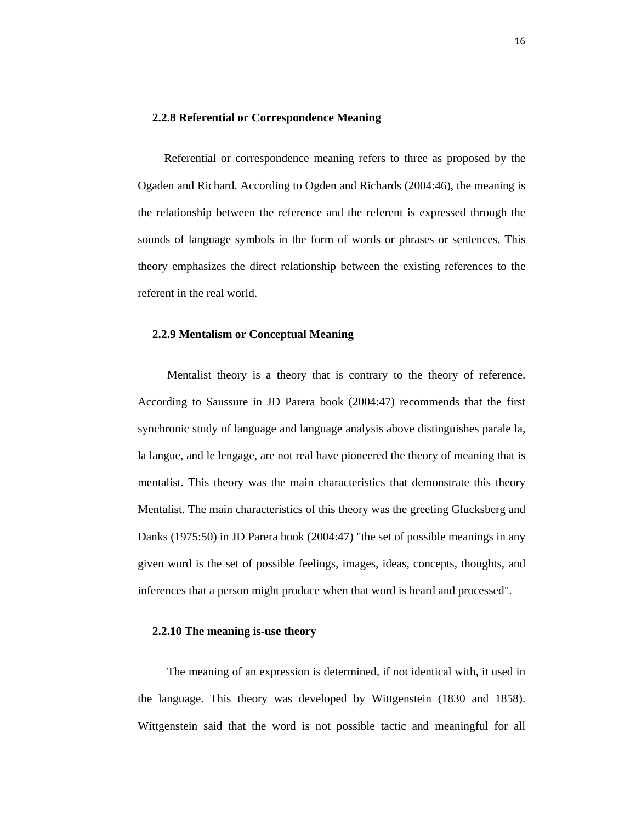#### **2.2.8 Referential or Correspondence Meaning**

 Referential or correspondence meaning refers to three as proposed by the Ogaden and Richard. According to Ogden and Richards (2004:46), the meaning is the relationship between the reference and the referent is expressed through the sounds of language symbols in the form of words or phrases or sentences. This theory emphasizes the direct relationship between the existing references to the referent in the real world.

# **2.2.9 Mentalism or Conceptual Meaning**

 Mentalist theory is a theory that is contrary to the theory of reference. According to Saussure in JD Parera book (2004:47) recommends that the first synchronic study of language and language analysis above distinguishes parale la, la langue, and le lengage, are not real have pioneered the theory of meaning that is mentalist. This theory was the main characteristics that demonstrate this theory Mentalist. The main characteristics of this theory was the greeting Glucksberg and Danks (1975:50) in JD Parera book (2004:47) "the set of possible meanings in any given word is the set of possible feelings, images, ideas, concepts, thoughts, and inferences that a person might produce when that word is heard and processed".

# **2.2.10 The meaning is-use theory**

 The meaning of an expression is determined, if not identical with, it used in the language. This theory was developed by Wittgenstein (1830 and 1858). Wittgenstein said that the word is not possible tactic and meaningful for all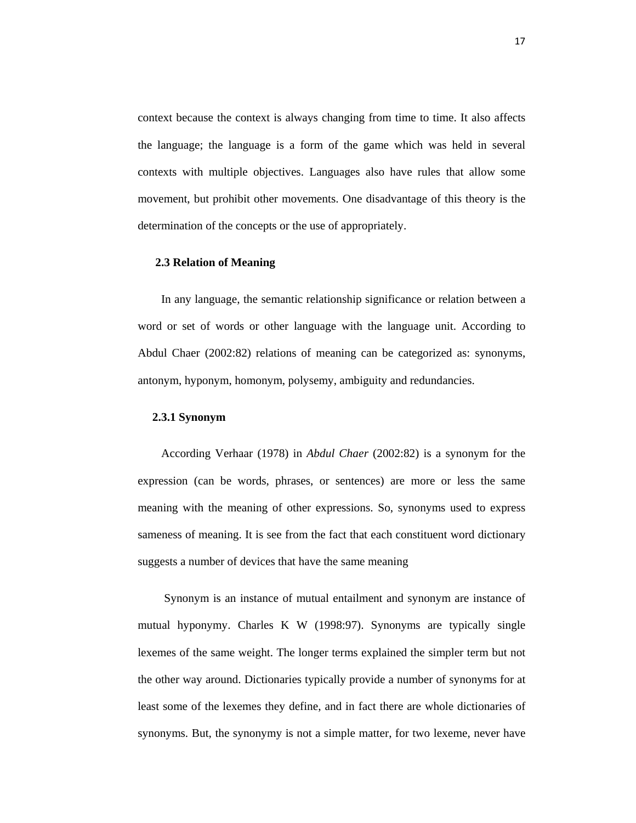context because the context is always changing from time to time. It also affects the language; the language is a form of the game which was held in several contexts with multiple objectives. Languages also have rules that allow some movement, but prohibit other movements. One disadvantage of this theory is the determination of the concepts or the use of appropriately.

#### **2.3 Relation of Meaning**

 In any language, the semantic relationship significance or relation between a word or set of words or other language with the language unit. According to Abdul Chaer (2002:82) relations of meaning can be categorized as: synonyms, antonym, hyponym, homonym, polysemy, ambiguity and redundancies.

## **2.3.1 Synonym**

 According Verhaar (1978) in *Abdul Chaer* (2002:82) is a synonym for the expression (can be words, phrases, or sentences) are more or less the same meaning with the meaning of other expressions. So, synonyms used to express sameness of meaning. It is see from the fact that each constituent word dictionary suggests a number of devices that have the same meaning

 Synonym is an instance of mutual entailment and synonym are instance of mutual hyponymy. Charles K W (1998:97). Synonyms are typically single lexemes of the same weight. The longer terms explained the simpler term but not the other way around. Dictionaries typically provide a number of synonyms for at least some of the lexemes they define, and in fact there are whole dictionaries of synonyms. But, the synonymy is not a simple matter, for two lexeme, never have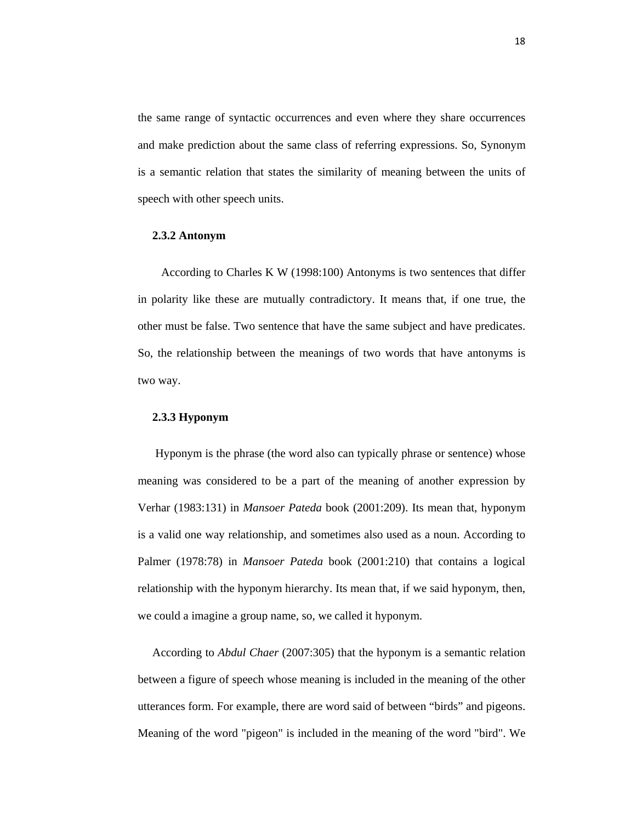the same range of syntactic occurrences and even where they share occurrences and make prediction about the same class of referring expressions. So, Synonym is a semantic relation that states the similarity of meaning between the units of speech with other speech units.

#### **2.3.2 Antonym**

 According to Charles K W (1998:100) Antonyms is two sentences that differ in polarity like these are mutually contradictory. It means that, if one true, the other must be false. Two sentence that have the same subject and have predicates. So, the relationship between the meanings of two words that have antonyms is two way.

## **2.3.3 Hyponym**

 Hyponym is the phrase (the word also can typically phrase or sentence) whose meaning was considered to be a part of the meaning of another expression by Verhar (1983:131) in *Mansoer Pateda* book (2001:209). Its mean that, hyponym is a valid one way relationship, and sometimes also used as a noun. According to Palmer (1978:78) in *Mansoer Pateda* book (2001:210) that contains a logical relationship with the hyponym hierarchy. Its mean that, if we said hyponym, then, we could a imagine a group name, so, we called it hyponym.

 According to *Abdul Chaer* (2007:305) that the hyponym is a semantic relation between a figure of speech whose meaning is included in the meaning of the other utterances form. For example, there are word said of between "birds" and pigeons. Meaning of the word "pigeon" is included in the meaning of the word "bird". We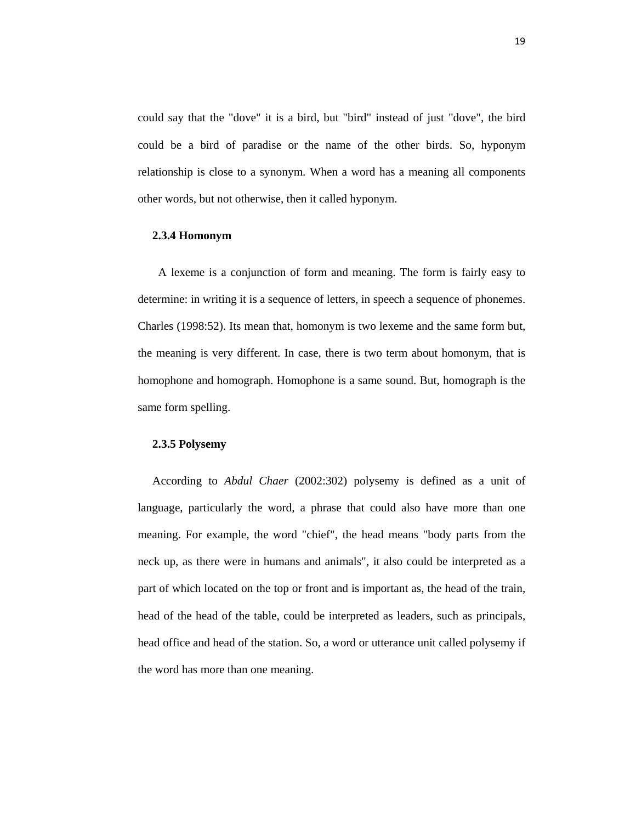could say that the "dove" it is a bird, but "bird" instead of just "dove", the bird could be a bird of paradise or the name of the other birds. So, hyponym relationship is close to a synonym. When a word has a meaning all components other words, but not otherwise, then it called hyponym.

#### **2.3.4 Homonym**

 A lexeme is a conjunction of form and meaning. The form is fairly easy to determine: in writing it is a sequence of letters, in speech a sequence of phonemes. Charles (1998:52). Its mean that, homonym is two lexeme and the same form but, the meaning is very different. In case, there is two term about homonym, that is homophone and homograph. Homophone is a same sound. But, homograph is the same form spelling.

# **2.3.5 Polysemy**

 According to *Abdul Chaer* (2002:302) polysemy is defined as a unit of language, particularly the word, a phrase that could also have more than one meaning. For example, the word "chief", the head means "body parts from the neck up, as there were in humans and animals", it also could be interpreted as a part of which located on the top or front and is important as, the head of the train, head of the head of the table, could be interpreted as leaders, such as principals, head office and head of the station. So, a word or utterance unit called polysemy if the word has more than one meaning.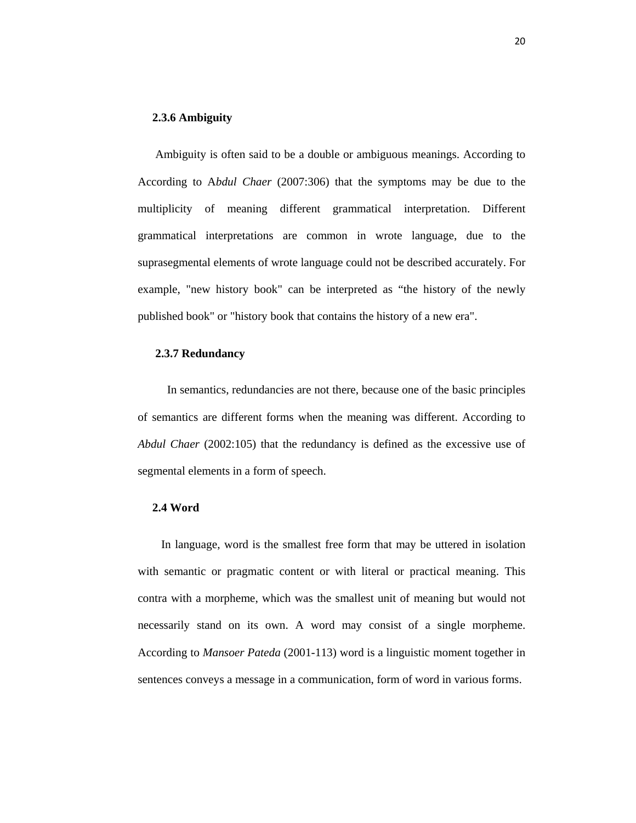# **2.3.6 Ambiguity**

Ambiguity is often said to be a double or ambiguous meanings. According to According to A*bdul Chaer* (2007:306) that the symptoms may be due to the multiplicity of meaning different grammatical interpretation. Different grammatical interpretations are common in wrote language, due to the suprasegmental elements of wrote language could not be described accurately. For example, "new history book" can be interpreted as "the history of the newly published book" or "history book that contains the history of a new era".

## **2.3.7 Redundancy**

In semantics, redundancies are not there, because one of the basic principles of semantics are different forms when the meaning was different. According to *Abdul Chaer* (2002:105) that the redundancy is defined as the excessive use of segmental elements in a form of speech.

## **2.4 Word**

 In language, word is the smallest free form that may be uttered in isolation with semantic or pragmatic content or with literal or practical meaning. This contra with a morpheme, which was the smallest unit of meaning but would not necessarily stand on its own. A word may consist of a single morpheme. According to *Mansoer Pateda* (2001-113) word is a linguistic moment together in sentences conveys a message in a communication, form of word in various forms.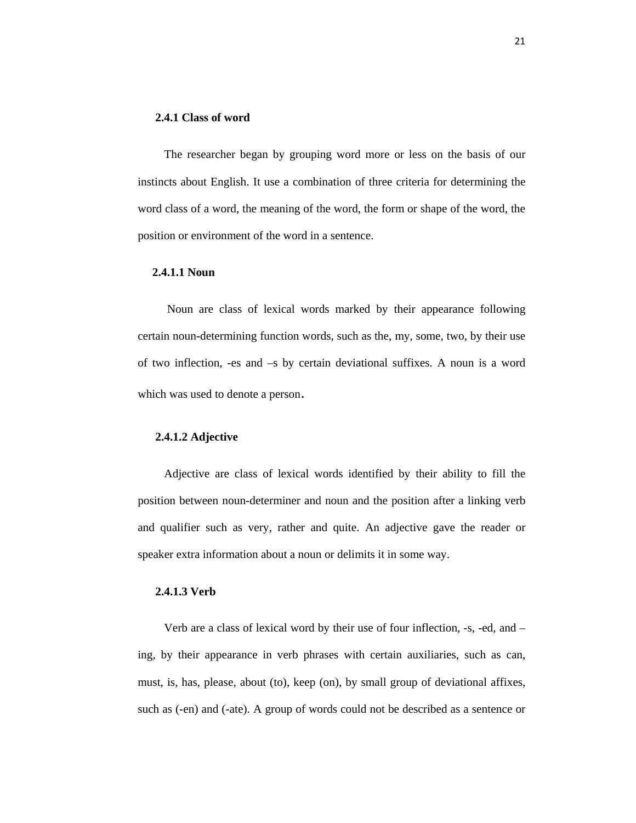# **2.4.1 Class of word**

 The researcher began by grouping word more or less on the basis of our instincts about English. It use a combination of three criteria for determining the word class of a word, the meaning of the word, the form or shape of the word, the position or environment of the word in a sentence.

#### **2.4.1.1 Noun**

 Noun are class of lexical words marked by their appearance following certain noun-determining function words, such as the, my, some, two, by their use of two inflection, -es and –s by certain deviational suffixes. A noun is a word which was used to denote a person.

#### **2.4.1.2 Adjective**

 Adjective are class of lexical words identified by their ability to fill the position between noun-determiner and noun and the position after a linking verb and qualifier such as very, rather and quite. An adjective gave the reader or speaker extra information about a noun or delimits it in some way.

# **2.4.1.3 Verb**

 Verb are a class of lexical word by their use of four inflection, -s, -ed, and – ing, by their appearance in verb phrases with certain auxiliaries, such as can, must, is, has, please, about (to), keep (on), by small group of deviational affixes, such as (-en) and (-ate). A group of words could not be described as a sentence or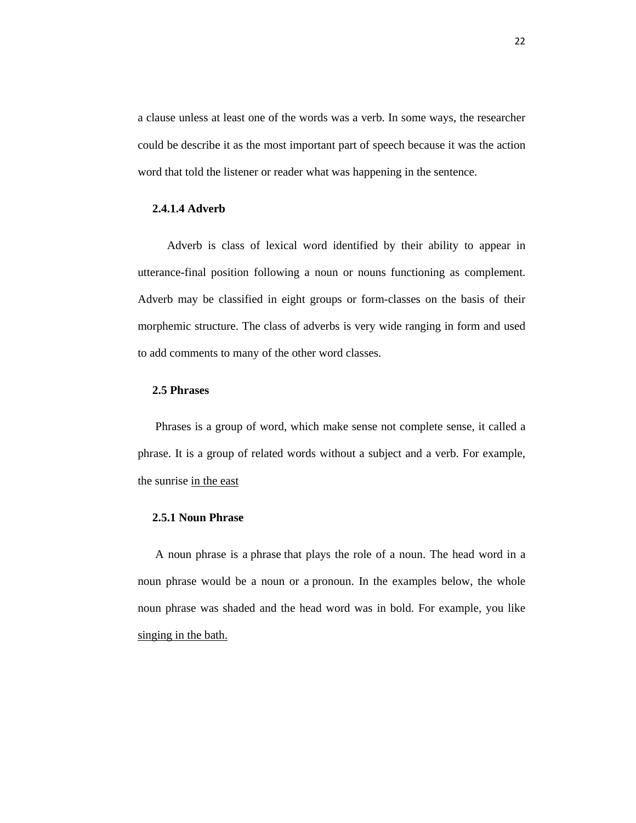a clause unless at least one of the words was a verb. In some ways, the researcher could be describe it as the most important part of speech because it was the action word that told the listener or reader what was happening in the sentence.

# **2.4.1.4 Adverb**

 Adverb is class of lexical word identified by their ability to appear in utterance-final position following a noun or nouns functioning as complement. Adverb may be classified in eight groups or form-classes on the basis of their morphemic structure. The class of adverbs is very wide ranging in form and used to add comments to many of the other word classes.

# **2.5 Phrases**

 Phrases is a group of word, which make sense not complete sense, it called a phrase. It is a group of related words without a subject and a verb. For example, the sunrise in the east

# **2.5.1 Noun Phrase**

 A noun phrase is a phrase that plays the role of a noun. The head word in a noun phrase would be a noun or a pronoun. In the examples below, the whole noun phrase was shaded and the head word was in bold. For example, you like singing in the bath.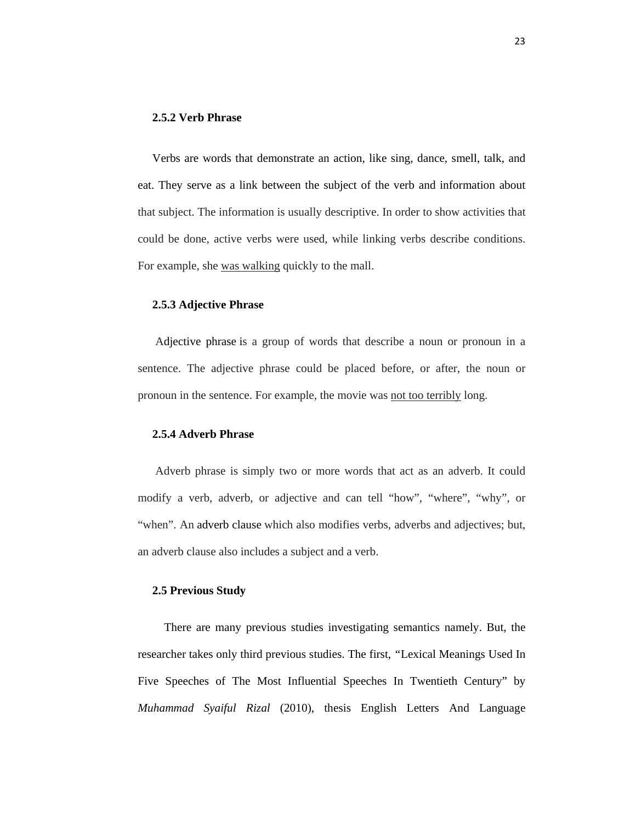#### **2.5.2 Verb Phrase**

 Verbs are words that demonstrate an action, like sing, dance, smell, talk, and eat. They serve as a link between the subject of the verb and information about that subject. The information is usually descriptive. In order to show activities that could be done, active verbs were used, while linking verbs describe conditions. For example, she was walking quickly to the mall.

## **2.5.3 Adjective Phrase**

 Adjective phrase is a group of words that describe a noun or pronoun in a sentence. The adjective phrase could be placed before, or after, the noun or pronoun in the sentence. For example, the movie was not too terribly long.

# **2.5.4 Adverb Phrase**

 Adverb phrase is simply two or more words that act as an adverb. It could modify a verb, adverb, or adjective and can tell "how", "where", "why", or "when". An adverb clause which also modifies verbs, adverbs and adjectives; but, an adverb clause also includes a subject and a verb.

#### **2.5 Previous Study**

 There are many previous studies investigating semantics namely. But, the researcher takes only third previous studies. The first, *"*Lexical Meanings Used In Five Speeches of The Most Influential Speeches In Twentieth Century" by *Muhammad Syaiful Rizal* (2010), thesis English Letters And Language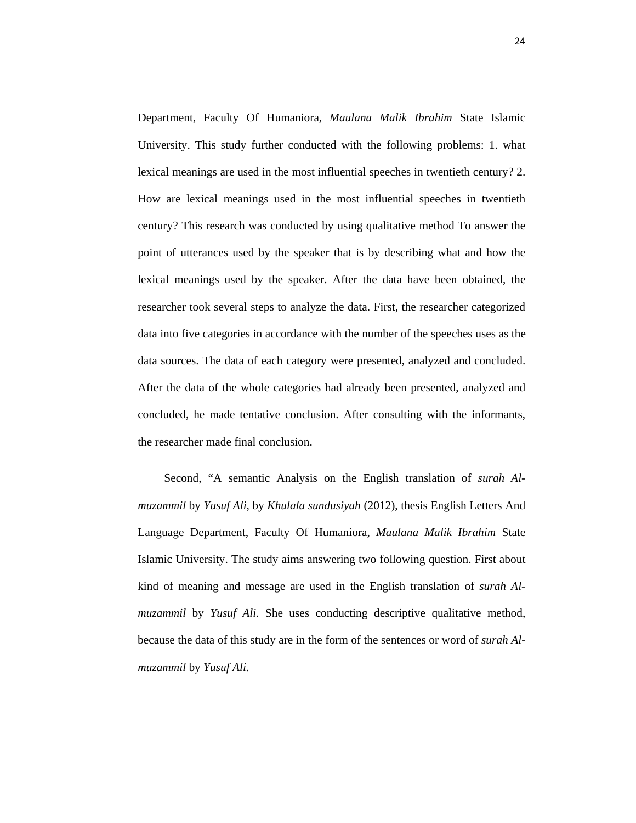Department, Faculty Of Humaniora, *Maulana Malik Ibrahim* State Islamic University. This study further conducted with the following problems: 1. what lexical meanings are used in the most influential speeches in twentieth century? 2. How are lexical meanings used in the most influential speeches in twentieth century? This research was conducted by using qualitative method To answer the point of utterances used by the speaker that is by describing what and how the lexical meanings used by the speaker. After the data have been obtained, the researcher took several steps to analyze the data. First, the researcher categorized data into five categories in accordance with the number of the speeches uses as the data sources. The data of each category were presented, analyzed and concluded. After the data of the whole categories had already been presented, analyzed and concluded, he made tentative conclusion. After consulting with the informants, the researcher made final conclusion.

 Second, "A semantic Analysis on the English translation of *surah Almuzammil* by *Yusuf Ali,* by *Khulala sundusiyah* (2012), thesis English Letters And Language Department, Faculty Of Humaniora, *Maulana Malik Ibrahim* State Islamic University. The study aims answering two following question. First about kind of meaning and message are used in the English translation of *surah Almuzammil* by *Yusuf Ali.* She uses conducting descriptive qualitative method, because the data of this study are in the form of the sentences or word of *surah Almuzammil* by *Yusuf Ali.*